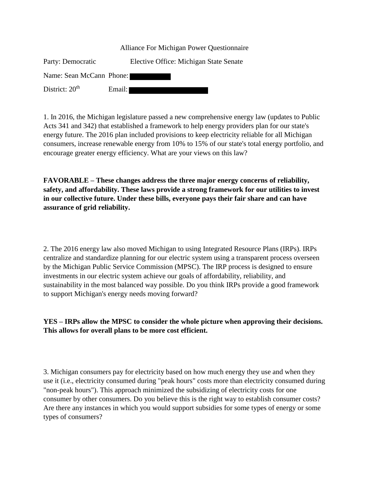|                          | Alliance For Michigan Power Questionnaire |
|--------------------------|-------------------------------------------|
| Party: Democratic        | Elective Office: Michigan State Senate    |
| Name: Sean McCann Phone: |                                           |
| District: $20th$         | Email:                                    |

1. In 2016, the Michigan legislature passed a new comprehensive energy law (updates to Public Acts 341 and 342) that established a framework to help energy providers plan for our state's energy future. The 2016 plan included provisions to keep electricity reliable for all Michigan consumers, increase renewable energy from 10% to 15% of our state's total energy portfolio, and encourage greater energy efficiency. What are your views on this law?

**FAVORABLE – These changes address the three major energy concerns of reliability, safety, and affordability. These laws provide a strong framework for our utilities to invest in our collective future. Under these bills, everyone pays their fair share and can have assurance of grid reliability.**

2. The 2016 energy law also moved Michigan to using Integrated Resource Plans (IRPs). IRPs centralize and standardize planning for our electric system using a transparent process overseen by the Michigan Public Service Commission (MPSC). The IRP process is designed to ensure investments in our electric system achieve our goals of affordability, reliability, and sustainability in the most balanced way possible. Do you think IRPs provide a good framework to support Michigan's energy needs moving forward?

**YES – IRPs allow the MPSC to consider the whole picture when approving their decisions. This allows for overall plans to be more cost efficient.**

3. Michigan consumers pay for electricity based on how much energy they use and when they use it (i.e., electricity consumed during "peak hours" costs more than electricity consumed during "non-peak hours"). This approach minimized the subsidizing of electricity costs for one consumer by other consumers. Do you believe this is the right way to establish consumer costs? Are there any instances in which you would support subsidies for some types of energy or some types of consumers?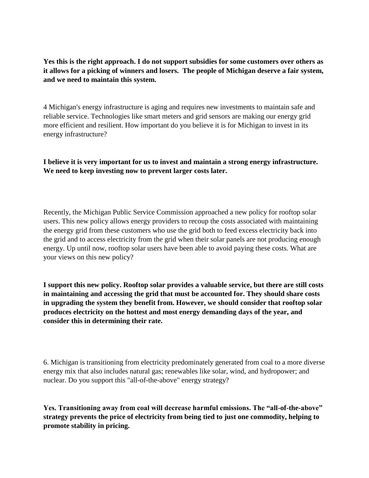**Yes this is the right approach. I do not support subsidies for some customers over others as it allows for a picking of winners and losers. The people of Michigan deserve a fair system, and we need to maintain this system.**

4 Michigan's energy infrastructure is aging and requires new investments to maintain safe and reliable service. Technologies like smart meters and grid sensors are making our energy grid more efficient and resilient. How important do you believe it is for Michigan to invest in its energy infrastructure?

**I believe it is very important for us to invest and maintain a strong energy infrastructure. We need to keep investing now to prevent larger costs later.**

Recently, the Michigan Public Service Commission approached a new policy for rooftop solar users. This new policy allows energy providers to recoup the costs associated with maintaining the energy grid from these customers who use the grid both to feed excess electricity back into the grid and to access electricity from the grid when their solar panels are not producing enough energy. Up until now, rooftop solar users have been able to avoid paying these costs. What are your views on this new policy?

**I support this new policy. Rooftop solar provides a valuable service, but there are still costs in maintaining and accessing the grid that must be accounted for. They should share costs in upgrading the system they benefit from. However, we should consider that rooftop solar produces electricity on the hottest and most energy demanding days of the year, and consider this in determining their rate.**

6. Michigan is transitioning from electricity predominately generated from coal to a more diverse energy mix that also includes natural gas; renewables like solar, wind, and hydropower; and nuclear. Do you support this "all-of-the-above" energy strategy?

**Yes. Transitioning away from coal will decrease harmful emissions. The "all-of-the-above" strategy prevents the price of electricity from being tied to just one commodity, helping to promote stability in pricing.**